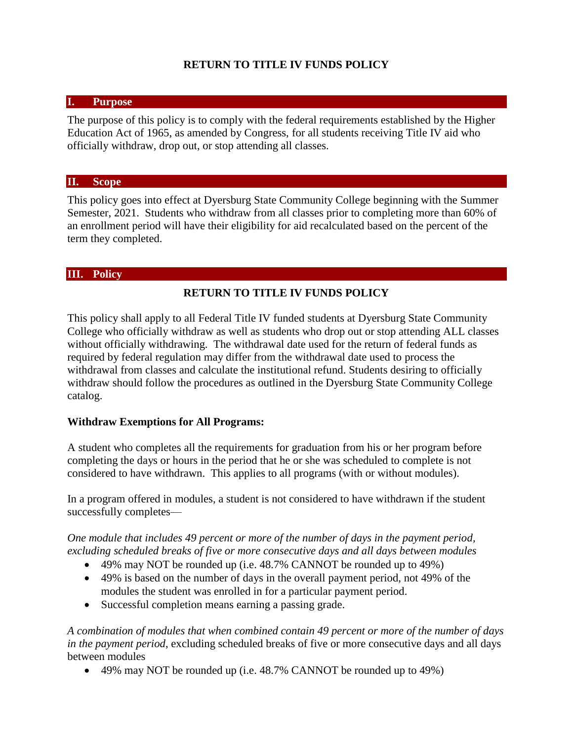### **RETURN TO TITLE IV FUNDS POLICY**

#### **I. Purpose**

The purpose of this policy is to comply with the federal requirements established by the Higher Education Act of 1965, as amended by Congress, for all students receiving Title IV aid who officially withdraw, drop out, or stop attending all classes.

#### **II. Scope**

This policy goes into effect at Dyersburg State Community College beginning with the Summer Semester, 2021. Students who withdraw from all classes prior to completing more than 60% of an enrollment period will have their eligibility for aid recalculated based on the percent of the term they completed.

#### **III. Policy**

#### **RETURN TO TITLE IV FUNDS POLICY**

This policy shall apply to all Federal Title IV funded students at Dyersburg State Community College who officially withdraw as well as students who drop out or stop attending ALL classes without officially withdrawing. The withdrawal date used for the return of federal funds as required by federal regulation may differ from the withdrawal date used to process the withdrawal from classes and calculate the institutional refund. Students desiring to officially withdraw should follow the procedures as outlined in the Dyersburg State Community College catalog.

#### **Withdraw Exemptions for All Programs:**

A student who completes all the requirements for graduation from his or her program before completing the days or hours in the period that he or she was scheduled to complete is not considered to have withdrawn. This applies to all programs (with or without modules).

In a program offered in modules, a student is not considered to have withdrawn if the student successfully completes—

*One module that includes 49 percent or more of the number of days in the payment period, excluding scheduled breaks of five or more consecutive days and all days between modules*

- 49% may NOT be rounded up (i.e. 48.7% CANNOT be rounded up to 49%)
- 49% is based on the number of days in the overall payment period, not 49% of the modules the student was enrolled in for a particular payment period.
- Successful completion means earning a passing grade.

*A combination of modules that when combined contain 49 percent or more of the number of days in the payment period*, excluding scheduled breaks of five or more consecutive days and all days between modules

49% may NOT be rounded up (i.e. 48.7% CANNOT be rounded up to 49%)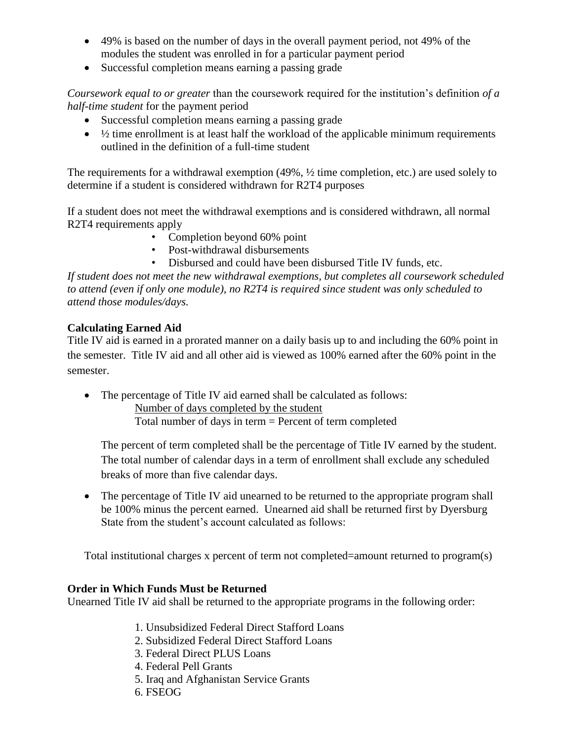- 49% is based on the number of days in the overall payment period, not 49% of the modules the student was enrolled in for a particular payment period
- Successful completion means earning a passing grade

*Coursework equal to or greater* than the coursework required for the institution's definition *of a half-time student* for the payment period

- Successful completion means earning a passing grade
- $\bullet$   $\frac{1}{2}$  time enrollment is at least half the workload of the applicable minimum requirements outlined in the definition of a full-time student

The requirements for a withdrawal exemption (49%, ½ time completion, etc.) are used solely to determine if a student is considered withdrawn for R2T4 purposes

If a student does not meet the withdrawal exemptions and is considered withdrawn, all normal R2T4 requirements apply

- Completion beyond 60% point
- Post-withdrawal disbursements
- Disbursed and could have been disbursed Title IV funds, etc.

*If student does not meet the new withdrawal exemptions, but completes all coursework scheduled to attend (even if only one module), no R2T4 is required since student was only scheduled to attend those modules/days.*

# **Calculating Earned Aid**

Title IV aid is earned in a prorated manner on a daily basis up to and including the 60% point in the semester. Title IV aid and all other aid is viewed as 100% earned after the 60% point in the semester.

 The percentage of Title IV aid earned shall be calculated as follows: Number of days completed by the student

Total number of days in term = Percent of term completed

The percent of term completed shall be the percentage of Title IV earned by the student. The total number of calendar days in a term of enrollment shall exclude any scheduled breaks of more than five calendar days.

• The percentage of Title IV aid unearned to be returned to the appropriate program shall be 100% minus the percent earned. Unearned aid shall be returned first by Dyersburg State from the student's account calculated as follows:

Total institutional charges x percent of term not completed=amount returned to program(s)

# **Order in Which Funds Must be Returned**

Unearned Title IV aid shall be returned to the appropriate programs in the following order:

- 1. Unsubsidized Federal Direct Stafford Loans
- 2. Subsidized Federal Direct Stafford Loans
- 3. Federal Direct PLUS Loans
- 4. Federal Pell Grants
- 5. Iraq and Afghanistan Service Grants
- 6. FSEOG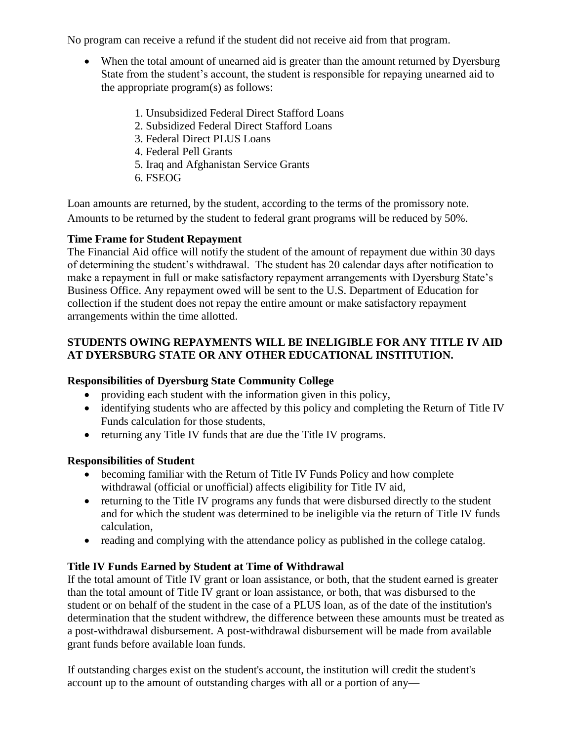No program can receive a refund if the student did not receive aid from that program.

- When the total amount of unearned aid is greater than the amount returned by Dyersburg State from the student's account, the student is responsible for repaying unearned aid to the appropriate program(s) as follows:
	- 1. Unsubsidized Federal Direct Stafford Loans
	- 2. Subsidized Federal Direct Stafford Loans
	- 3. Federal Direct PLUS Loans
	- 4. Federal Pell Grants
	- 5. Iraq and Afghanistan Service Grants
	- 6. FSEOG

Loan amounts are returned, by the student, according to the terms of the promissory note. Amounts to be returned by the student to federal grant programs will be reduced by 50%.

### **Time Frame for Student Repayment**

The Financial Aid office will notify the student of the amount of repayment due within 30 days of determining the student's withdrawal. The student has 20 calendar days after notification to make a repayment in full or make satisfactory repayment arrangements with Dyersburg State's Business Office. Any repayment owed will be sent to the U.S. Department of Education for collection if the student does not repay the entire amount or make satisfactory repayment arrangements within the time allotted.

# **STUDENTS OWING REPAYMENTS WILL BE INELIGIBLE FOR ANY TITLE IV AID AT DYERSBURG STATE OR ANY OTHER EDUCATIONAL INSTITUTION.**

# **Responsibilities of Dyersburg State Community College**

- providing each student with the information given in this policy,
- identifying students who are affected by this policy and completing the Return of Title IV Funds calculation for those students,
- returning any Title IV funds that are due the Title IV programs.

# **Responsibilities of Student**

- becoming familiar with the Return of Title IV Funds Policy and how complete withdrawal (official or unofficial) affects eligibility for Title IV aid,
- returning to the Title IV programs any funds that were disbursed directly to the student and for which the student was determined to be ineligible via the return of Title IV funds calculation,
- reading and complying with the attendance policy as published in the college catalog.

# **Title IV Funds Earned by Student at Time of Withdrawal**

If the total amount of Title IV grant or loan assistance, or both, that the student earned is greater than the total amount of Title IV grant or loan assistance, or both, that was disbursed to the student or on behalf of the student in the case of a PLUS loan, as of the date of the institution's determination that the student withdrew, the difference between these amounts must be treated as a post-withdrawal disbursement. A post-withdrawal disbursement will be made from available grant funds before available loan funds.

If outstanding charges exist on the student's account, the institution will credit the student's account up to the amount of outstanding charges with all or a portion of any—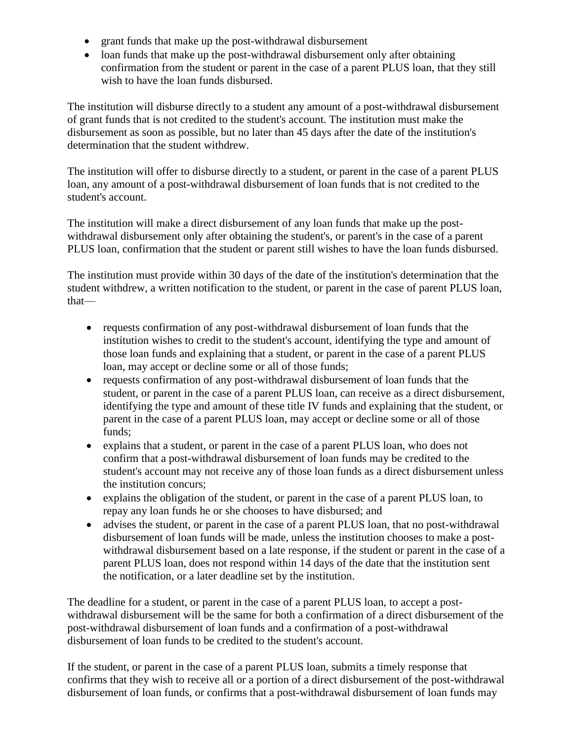- grant funds that make up the post-withdrawal disbursement
- loan funds that make up the post-withdrawal disbursement only after obtaining confirmation from the student or parent in the case of a parent PLUS loan, that they still wish to have the loan funds disbursed.

The institution will disburse directly to a student any amount of a post-withdrawal disbursement of grant funds that is not credited to the student's account. The institution must make the disbursement as soon as possible, but no later than 45 days after the date of the institution's determination that the student withdrew.

The institution will offer to disburse directly to a student, or parent in the case of a parent PLUS loan, any amount of a post-withdrawal disbursement of loan funds that is not credited to the student's account.

The institution will make a direct disbursement of any loan funds that make up the postwithdrawal disbursement only after obtaining the student's, or parent's in the case of a parent PLUS loan, confirmation that the student or parent still wishes to have the loan funds disbursed.

The institution must provide within 30 days of the date of the institution's determination that the student withdrew, a written notification to the student, or parent in the case of parent PLUS loan, that—

- requests confirmation of any post-withdrawal disbursement of loan funds that the institution wishes to credit to the student's account, identifying the type and amount of those loan funds and explaining that a student, or parent in the case of a parent PLUS loan, may accept or decline some or all of those funds;
- requests confirmation of any post-withdrawal disbursement of loan funds that the student, or parent in the case of a parent PLUS loan, can receive as a direct disbursement, identifying the type and amount of these title IV funds and explaining that the student, or parent in the case of a parent PLUS loan, may accept or decline some or all of those funds;
- explains that a student, or parent in the case of a parent PLUS loan, who does not confirm that a post-withdrawal disbursement of loan funds may be credited to the student's account may not receive any of those loan funds as a direct disbursement unless the institution concurs;
- explains the obligation of the student, or parent in the case of a parent PLUS loan, to repay any loan funds he or she chooses to have disbursed; and
- advises the student, or parent in the case of a parent PLUS loan, that no post-withdrawal disbursement of loan funds will be made, unless the institution chooses to make a postwithdrawal disbursement based on a late response, if the student or parent in the case of a parent PLUS loan, does not respond within 14 days of the date that the institution sent the notification, or a later deadline set by the institution.

The deadline for a student, or parent in the case of a parent PLUS loan, to accept a postwithdrawal disbursement will be the same for both a confirmation of a direct disbursement of the post-withdrawal disbursement of loan funds and a confirmation of a post-withdrawal disbursement of loan funds to be credited to the student's account.

If the student, or parent in the case of a parent PLUS loan, submits a timely response that confirms that they wish to receive all or a portion of a direct disbursement of the post-withdrawal disbursement of loan funds, or confirms that a post-withdrawal disbursement of loan funds may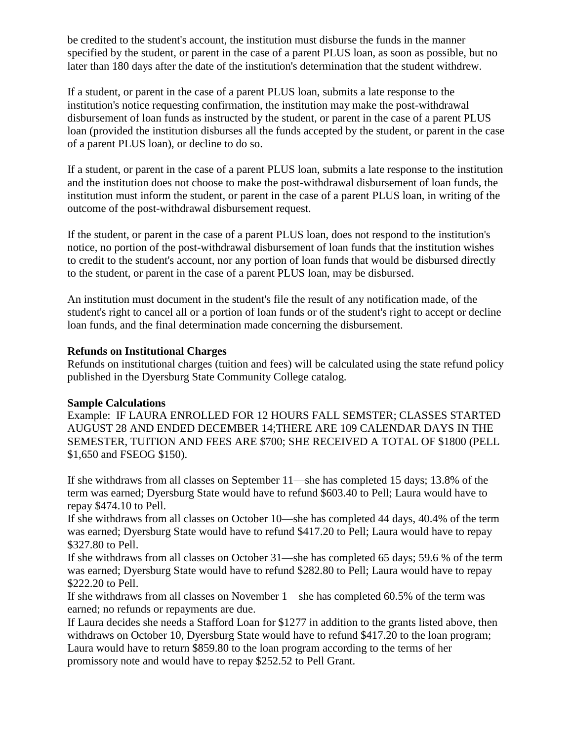be credited to the student's account, the institution must disburse the funds in the manner specified by the student, or parent in the case of a parent PLUS loan, as soon as possible, but no later than 180 days after the date of the institution's determination that the student withdrew.

If a student, or parent in the case of a parent PLUS loan, submits a late response to the institution's notice requesting confirmation, the institution may make the post-withdrawal disbursement of loan funds as instructed by the student, or parent in the case of a parent PLUS loan (provided the institution disburses all the funds accepted by the student, or parent in the case of a parent PLUS loan), or decline to do so.

If a student, or parent in the case of a parent PLUS loan, submits a late response to the institution and the institution does not choose to make the post-withdrawal disbursement of loan funds, the institution must inform the student, or parent in the case of a parent PLUS loan, in writing of the outcome of the post-withdrawal disbursement request.

If the student, or parent in the case of a parent PLUS loan, does not respond to the institution's notice, no portion of the post-withdrawal disbursement of loan funds that the institution wishes to credit to the student's account, nor any portion of loan funds that would be disbursed directly to the student, or parent in the case of a parent PLUS loan, may be disbursed.

An institution must document in the student's file the result of any notification made, of the student's right to cancel all or a portion of loan funds or of the student's right to accept or decline loan funds, and the final determination made concerning the disbursement.

#### **Refunds on Institutional Charges**

Refunds on institutional charges (tuition and fees) will be calculated using the state refund policy published in the Dyersburg State Community College catalog.

### **Sample Calculations**

Example: IF LAURA ENROLLED FOR 12 HOURS FALL SEMSTER; CLASSES STARTED AUGUST 28 AND ENDED DECEMBER 14;THERE ARE 109 CALENDAR DAYS IN THE SEMESTER, TUITION AND FEES ARE \$700; SHE RECEIVED A TOTAL OF \$1800 (PELL \$1,650 and FSEOG \$150).

If she withdraws from all classes on September 11—she has completed 15 days; 13.8% of the term was earned; Dyersburg State would have to refund \$603.40 to Pell; Laura would have to repay \$474.10 to Pell.

If she withdraws from all classes on October 10—she has completed 44 days, 40.4% of the term was earned; Dyersburg State would have to refund \$417.20 to Pell; Laura would have to repay \$327.80 to Pell.

If she withdraws from all classes on October 31—she has completed 65 days; 59.6 % of the term was earned; Dyersburg State would have to refund \$282.80 to Pell; Laura would have to repay \$222.20 to Pell.

If she withdraws from all classes on November 1—she has completed 60.5% of the term was earned; no refunds or repayments are due.

If Laura decides she needs a Stafford Loan for \$1277 in addition to the grants listed above, then withdraws on October 10, Dyersburg State would have to refund \$417.20 to the loan program; Laura would have to return \$859.80 to the loan program according to the terms of her promissory note and would have to repay \$252.52 to Pell Grant.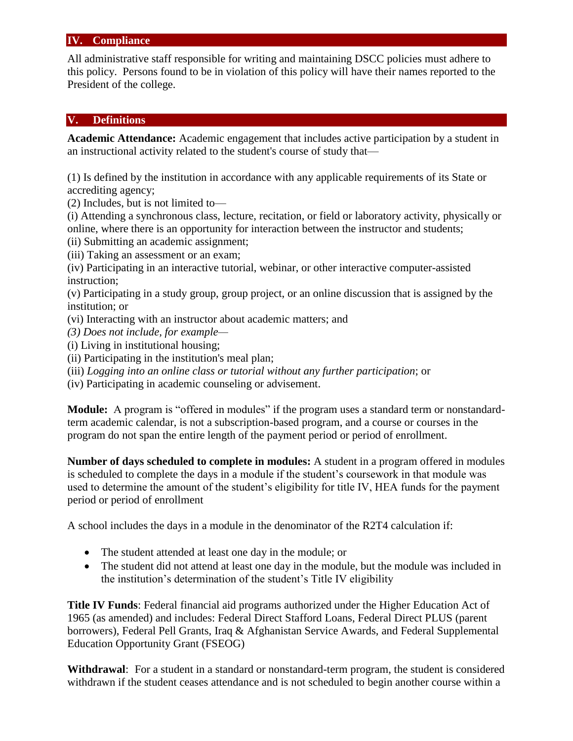### **IV. Compliance**

All administrative staff responsible for writing and maintaining DSCC policies must adhere to this policy. Persons found to be in violation of this policy will have their names reported to the President of the college.

#### **V. Definitions**

**Academic Attendance:** Academic engagement that includes active participation by a student in an instructional activity related to the student's course of study that—

(1) Is defined by the institution in accordance with any applicable requirements of its State or accrediting agency;

(2) Includes, but is not limited to—

(i) Attending a synchronous class, lecture, recitation, or field or laboratory activity, physically or online, where there is an opportunity for interaction between the instructor and students;

- (ii) Submitting an academic assignment;
- (iii) Taking an assessment or an exam;

(iv) Participating in an interactive tutorial, webinar, or other interactive computer-assisted instruction;

(v) Participating in a study group, group project, or an online discussion that is assigned by the institution; or

- (vi) Interacting with an instructor about academic matters; and
- *(3) Does not include, for example—*
- (i) Living in institutional housing;
- (ii) Participating in the institution's meal plan;
- (iii) *Logging into an online class or tutorial without any further participation*; or
- (iv) Participating in academic counseling or advisement.

**Module:** A program is "offered in modules" if the program uses a standard term or nonstandardterm academic calendar, is not a subscription-based program, and a course or courses in the program do not span the entire length of the payment period or period of enrollment.

**Number of days scheduled to complete in modules:** A student in a program offered in modules is scheduled to complete the days in a module if the student's coursework in that module was used to determine the amount of the student's eligibility for title IV, HEA funds for the payment period or period of enrollment

A school includes the days in a module in the denominator of the R2T4 calculation if:

- The student attended at least one day in the module; or
- The student did not attend at least one day in the module, but the module was included in the institution's determination of the student's Title IV eligibility

**Title IV Funds**: Federal financial aid programs authorized under the Higher Education Act of 1965 (as amended) and includes: Federal Direct Stafford Loans, Federal Direct PLUS (parent borrowers), Federal Pell Grants, Iraq & Afghanistan Service Awards, and Federal Supplemental Education Opportunity Grant (FSEOG)

**Withdrawal**: For a student in a standard or nonstandard-term program, the student is considered withdrawn if the student ceases attendance and is not scheduled to begin another course within a